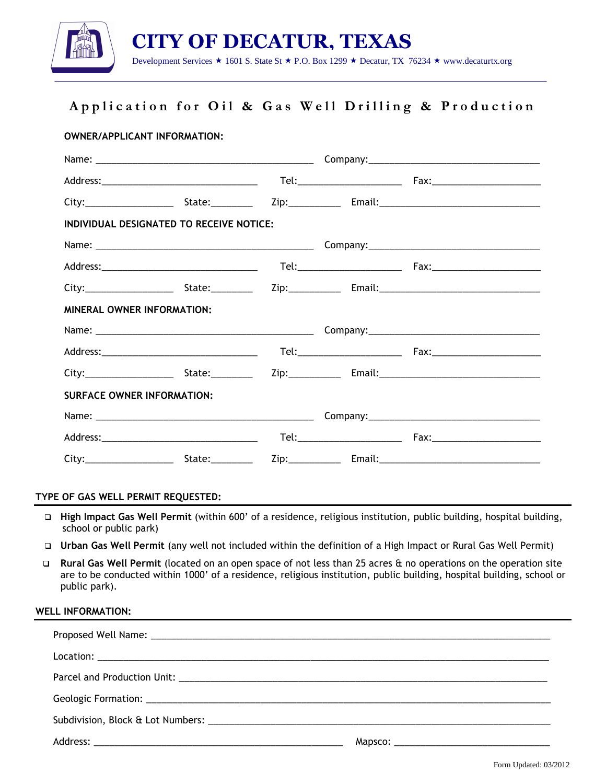

# Application for Oil & Gas Well Drilling & Production

|                                   | <b>OWNER/APPLICANT INFORMATION:</b>      |  |  |
|-----------------------------------|------------------------------------------|--|--|
|                                   |                                          |  |  |
|                                   |                                          |  |  |
|                                   |                                          |  |  |
|                                   | INDIVIDUAL DESIGNATED TO RECEIVE NOTICE: |  |  |
|                                   |                                          |  |  |
|                                   |                                          |  |  |
|                                   |                                          |  |  |
| <b>MINERAL OWNER INFORMATION:</b> |                                          |  |  |
|                                   |                                          |  |  |
|                                   |                                          |  |  |
|                                   |                                          |  |  |
| <b>SURFACE OWNER INFORMATION:</b> |                                          |  |  |
|                                   |                                          |  |  |
|                                   |                                          |  |  |
|                                   |                                          |  |  |

#### TYPE OF GAS WELL PERMIT REQUESTED:

- □ High Impact Gas Well Permit (within 600' of a residence, religious institution, public building, hospital building, school or public park)
- Urban Gas Well Permit (any well not included within the definition of a High Impact or Rural Gas Well Permit)
- □ Rural Gas Well Permit (located on an open space of not less than 25 acres & no operations on the operation site are to be conducted within 1000' of a residence, religious institution, public building, hospital building, school or public park).

#### WELL INFORMATION:

| Subdivision, Block & Lot Numbers: Letter and the state of the state of the state of the state of the state of the state of the state of the state of the state of the state of the state of the state of the state of the stat |  |
|--------------------------------------------------------------------------------------------------------------------------------------------------------------------------------------------------------------------------------|--|
|                                                                                                                                                                                                                                |  |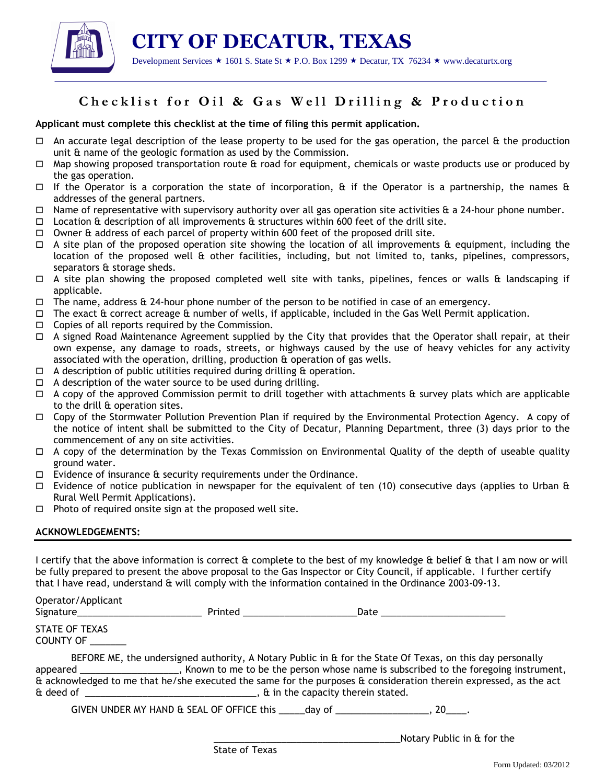

 CITY OF DECATUR, TEXAS Development Services  $\star$  1601 S. State St  $\star$  P.O. Box 1299  $\star$  Decatur, TX 76234  $\star$  www.decaturtx.org

## Checklist for Oil & Gas Well Drilling & Production

Applicant must complete this checklist at the time of filing this permit application.

- $\Box$  An accurate legal description of the lease property to be used for the gas operation, the parcel & the production unit & name of the geologic formation as used by the Commission.
- $\Box$  Map showing proposed transportation route & road for equipment, chemicals or waste products use or produced by the gas operation.
- If the Operator is a corporation the state of incorporation,  $\hat{\theta}$  if the Operator is a partnership, the names  $\hat{\theta}$ addresses of the general partners.
- $\Box$  Name of representative with supervisory authority over all gas operation site activities  $\&$  a 24-hour phone number.
- $\Box$  Location & description of all improvements & structures within 600 feet of the drill site.
- $\Box$  Owner & address of each parcel of property within 600 feet of the proposed drill site.
- $\Box$  A site plan of the proposed operation site showing the location of all improvements & equipment, including the location of the proposed well & other facilities, including, but not limited to, tanks, pipelines, compressors, separators & storage sheds.
- $\Box$  A site plan showing the proposed completed well site with tanks, pipelines, fences or walls & landscaping if applicable.
- $\Box$  The name, address & 24-hour phone number of the person to be notified in case of an emergency.
- $\Box$  The exact & correct acreage & number of wells, if applicable, included in the Gas Well Permit application.
- $\Box$  Copies of all reports required by the Commission.
- $\Box$  A signed Road Maintenance Agreement supplied by the City that provides that the Operator shall repair, at their own expense, any damage to roads, streets, or highways caused by the use of heavy vehicles for any activity associated with the operation, drilling, production & operation of gas wells.
- $\Box$  A description of public utilities required during drilling  $\&$  operation.
- $\Box$  A description of the water source to be used during drilling.
- $\Box$  A copy of the approved Commission permit to drill together with attachments & survey plats which are applicable to the drill & operation sites.
- Copy of the Stormwater Pollution Prevention Plan if required by the Environmental Protection Agency. A copy of the notice of intent shall be submitted to the City of Decatur, Planning Department, three (3) days prior to the commencement of any on site activities.
- $\Box$  A copy of the determination by the Texas Commission on Environmental Quality of the depth of useable quality ground water.
- $\Box$  Evidence of insurance  $\theta$  security requirements under the Ordinance.
- $\Box$  Evidence of notice publication in newspaper for the equivalent of ten (10) consecutive days (applies to Urban & Rural Well Permit Applications).
- $\Box$  Photo of required onsite sign at the proposed well site.

### ACKNOWLEDGEMENTS:

I certify that the above information is correct & complete to the best of my knowledge & belief & that I am now or will be fully prepared to present the above proposal to the Gas Inspector or City Council, if applicable. I further certify that I have read, understand & will comply with the information contained in the Ordinance 2003-09-13.

Operator/Applicant

| Signature | Printed | Date |
|-----------|---------|------|

| STATE OF TEXAS   |  |
|------------------|--|
| <b>COUNTY OF</b> |  |

 BEFORE ME, the undersigned authority, A Notary Public in & for the State Of Texas, on this day personally appeared \_\_\_\_\_\_\_\_\_\_\_\_\_\_\_\_\_\_\_, Known to me to be the person whose name is subscribed to the foregoing instrument, & acknowledged to me that he/she executed the same for the purposes & consideration therein expressed, as the act  $\alpha$  deed of  $\Box$ 

GIVEN UNDER MY HAND & SEAL OF OFFICE this day of \_\_\_\_\_\_\_\_\_\_\_\_\_\_\_\_\_\_\_\_, 20\_\_\_\_\_.

\_\_\_\_\_\_\_\_\_\_\_\_\_\_\_\_\_\_\_\_\_\_\_\_\_\_\_\_\_\_\_\_\_\_\_\_Notary Public in & for the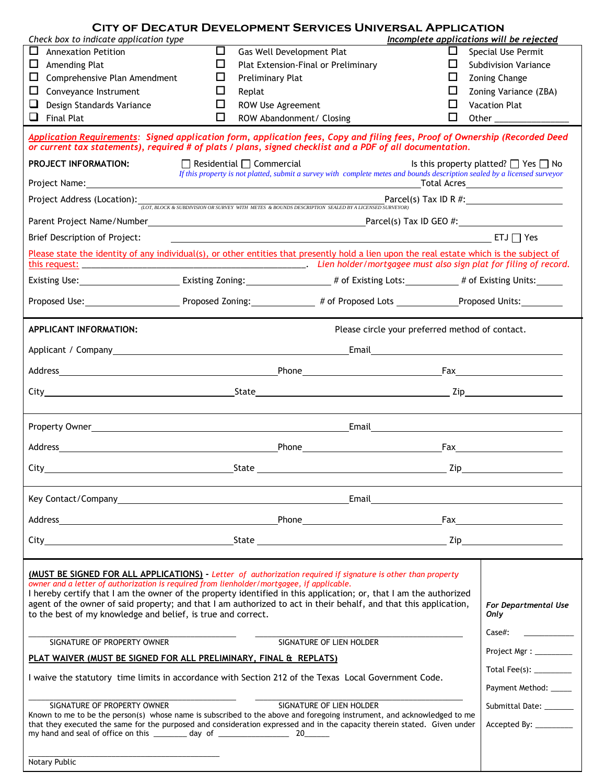| Check box to indicate application type                                                                                                                                                                                                                                                                                                                                                                                                                                                                             |   | CITY OF DECATUR DEVELOPMENT SERVICES UNIVERSAL APPLICATION                                                                                                                                                                         | Incomplete applications will be rejected                                                                      |                                                                                                                                                                                                                                                                                                                                                                                             |
|--------------------------------------------------------------------------------------------------------------------------------------------------------------------------------------------------------------------------------------------------------------------------------------------------------------------------------------------------------------------------------------------------------------------------------------------------------------------------------------------------------------------|---|------------------------------------------------------------------------------------------------------------------------------------------------------------------------------------------------------------------------------------|---------------------------------------------------------------------------------------------------------------|---------------------------------------------------------------------------------------------------------------------------------------------------------------------------------------------------------------------------------------------------------------------------------------------------------------------------------------------------------------------------------------------|
|                                                                                                                                                                                                                                                                                                                                                                                                                                                                                                                    |   |                                                                                                                                                                                                                                    |                                                                                                               |                                                                                                                                                                                                                                                                                                                                                                                             |
| ப<br><b>Annexation Petition</b>                                                                                                                                                                                                                                                                                                                                                                                                                                                                                    | □ | Gas Well Development Plat                                                                                                                                                                                                          | ப                                                                                                             | Special Use Permit                                                                                                                                                                                                                                                                                                                                                                          |
| ப<br>Amending Plat                                                                                                                                                                                                                                                                                                                                                                                                                                                                                                 | ப | Plat Extension-Final or Preliminary                                                                                                                                                                                                | ΙI                                                                                                            | <b>Subdivision Variance</b>                                                                                                                                                                                                                                                                                                                                                                 |
| ப<br>Comprehensive Plan Amendment                                                                                                                                                                                                                                                                                                                                                                                                                                                                                  | ப | Preliminary Plat                                                                                                                                                                                                                   | ⊔                                                                                                             | <b>Zoning Change</b>                                                                                                                                                                                                                                                                                                                                                                        |
| ப<br>Conveyance Instrument                                                                                                                                                                                                                                                                                                                                                                                                                                                                                         | ப | Replat                                                                                                                                                                                                                             | ⊔                                                                                                             | Zoning Variance (ZBA)                                                                                                                                                                                                                                                                                                                                                                       |
| Design Standards Variance                                                                                                                                                                                                                                                                                                                                                                                                                                                                                          | ப | ROW Use Agreement                                                                                                                                                                                                                  | $\mathbf{L}$                                                                                                  | <b>Vacation Plat</b>                                                                                                                                                                                                                                                                                                                                                                        |
| ⊔<br><b>Final Plat</b>                                                                                                                                                                                                                                                                                                                                                                                                                                                                                             | □ | ROW Abandonment/ Closing                                                                                                                                                                                                           | $\Box$                                                                                                        |                                                                                                                                                                                                                                                                                                                                                                                             |
|                                                                                                                                                                                                                                                                                                                                                                                                                                                                                                                    |   |                                                                                                                                                                                                                                    |                                                                                                               |                                                                                                                                                                                                                                                                                                                                                                                             |
| Application Requirements: Signed application form, application fees, Copy and filing fees, Proof of Ownership (Recorded Deed<br>or current tax statements), required # of plats / plans, signed checklist and a PDF of all documentation.                                                                                                                                                                                                                                                                          |   |                                                                                                                                                                                                                                    |                                                                                                               |                                                                                                                                                                                                                                                                                                                                                                                             |
| <b>PROJECT INFORMATION:</b>                                                                                                                                                                                                                                                                                                                                                                                                                                                                                        |   | $\Box$ Residential $\Box$ Commercial<br>If this property is not platted, submit a survey with complete metes and bounds description sealed by a licensed surveyor                                                                  |                                                                                                               | Is this property platted? $\Box$ Yes $\Box$ No                                                                                                                                                                                                                                                                                                                                              |
| Project Name: Name: Name and Allen Manual Allen Manual Allen Manual Allen Manual Allen Manual Allen Manual All                                                                                                                                                                                                                                                                                                                                                                                                     |   |                                                                                                                                                                                                                                    |                                                                                                               |                                                                                                                                                                                                                                                                                                                                                                                             |
| Project Address (Location): <i>(LOT, BLOCK &amp; SUBDIVISION OR SURVEY WITH METES &amp; BOUNDS DESCRIPTION SEALED BY A LICENSED SURVEYOR</i> ) Tax ID R #:                                                                                                                                                                                                                                                                                                                                                         |   |                                                                                                                                                                                                                                    |                                                                                                               |                                                                                                                                                                                                                                                                                                                                                                                             |
|                                                                                                                                                                                                                                                                                                                                                                                                                                                                                                                    |   |                                                                                                                                                                                                                                    |                                                                                                               |                                                                                                                                                                                                                                                                                                                                                                                             |
| Brief Description of Project:                                                                                                                                                                                                                                                                                                                                                                                                                                                                                      |   |                                                                                                                                                                                                                                    |                                                                                                               |                                                                                                                                                                                                                                                                                                                                                                                             |
| Please state the identity of any individual(s), or other entities that presently hold a lien upon the real estate which is the subject of                                                                                                                                                                                                                                                                                                                                                                          |   |                                                                                                                                                                                                                                    |                                                                                                               |                                                                                                                                                                                                                                                                                                                                                                                             |
| Existing Use: _____________________________Existing Zoning: ___________________# of Existing Lots: ___________# of Existing Units: ___________                                                                                                                                                                                                                                                                                                                                                                     |   |                                                                                                                                                                                                                                    |                                                                                                               |                                                                                                                                                                                                                                                                                                                                                                                             |
|                                                                                                                                                                                                                                                                                                                                                                                                                                                                                                                    |   |                                                                                                                                                                                                                                    |                                                                                                               |                                                                                                                                                                                                                                                                                                                                                                                             |
| <b>APPLICANT INFORMATION:</b>                                                                                                                                                                                                                                                                                                                                                                                                                                                                                      |   |                                                                                                                                                                                                                                    | Please circle your preferred method of contact.                                                               |                                                                                                                                                                                                                                                                                                                                                                                             |
|                                                                                                                                                                                                                                                                                                                                                                                                                                                                                                                    |   |                                                                                                                                                                                                                                    |                                                                                                               |                                                                                                                                                                                                                                                                                                                                                                                             |
|                                                                                                                                                                                                                                                                                                                                                                                                                                                                                                                    |   |                                                                                                                                                                                                                                    |                                                                                                               |                                                                                                                                                                                                                                                                                                                                                                                             |
|                                                                                                                                                                                                                                                                                                                                                                                                                                                                                                                    |   |                                                                                                                                                                                                                                    |                                                                                                               |                                                                                                                                                                                                                                                                                                                                                                                             |
|                                                                                                                                                                                                                                                                                                                                                                                                                                                                                                                    |   |                                                                                                                                                                                                                                    |                                                                                                               |                                                                                                                                                                                                                                                                                                                                                                                             |
|                                                                                                                                                                                                                                                                                                                                                                                                                                                                                                                    |   |                                                                                                                                                                                                                                    |                                                                                                               |                                                                                                                                                                                                                                                                                                                                                                                             |
| Address<br><u> 1989 - Johann Barn, mars ar breithinn ar chuid ann an t-</u>                                                                                                                                                                                                                                                                                                                                                                                                                                        |   | Phone <b>Example 20</b> Phone <b>Phone</b>                                                                                                                                                                                         |                                                                                                               | $\begin{picture}(180,10) \put(0,0){\dashbox{0.5}(10,0){ }} \put(15,0){\circle{10}} \put(15,0){\circle{10}} \put(15,0){\circle{10}} \put(15,0){\circle{10}} \put(15,0){\circle{10}} \put(15,0){\circle{10}} \put(15,0){\circle{10}} \put(15,0){\circle{10}} \put(15,0){\circle{10}} \put(15,0){\circle{10}} \put(15,0){\circle{10}} \put(15,0){\circle{10}} \put(15,0){\circle{10}} \put(15$ |
| City_                                                                                                                                                                                                                                                                                                                                                                                                                                                                                                              |   | State <b>Example 2</b> and 2 and 2 and 2 and 2 and 2 and 2 and 2 and 2 and 2 and 2 and 2 and 2 and 2 and 2 and 2 and 2 and 2 and 2 and 2 and 2 and 2 and 2 and 2 and 2 and 2 and 2 and 2 and 2 and 2 and 2 and 2 and 2 and 2 and 2 |                                                                                                               |                                                                                                                                                                                                                                                                                                                                                                                             |
|                                                                                                                                                                                                                                                                                                                                                                                                                                                                                                                    |   |                                                                                                                                                                                                                                    | Email and the contract of the contract of the contract of the contract of the contract of the contract of the |                                                                                                                                                                                                                                                                                                                                                                                             |
|                                                                                                                                                                                                                                                                                                                                                                                                                                                                                                                    |   |                                                                                                                                                                                                                                    |                                                                                                               | $\sqrt{2}$ Fax                                                                                                                                                                                                                                                                                                                                                                              |
|                                                                                                                                                                                                                                                                                                                                                                                                                                                                                                                    |   |                                                                                                                                                                                                                                    |                                                                                                               |                                                                                                                                                                                                                                                                                                                                                                                             |
| (MUST BE SIGNED FOR ALL APPLICATIONS) - Letter of authorization required if signature is other than property<br>owner and a letter of authorization is required from lienholder/mortgagee, if applicable.<br>I hereby certify that I am the owner of the property identified in this application; or, that I am the authorized<br>agent of the owner of said property; and that I am authorized to act in their behalf, and that this application,<br>to the best of my knowledge and belief, is true and correct. |   |                                                                                                                                                                                                                                    |                                                                                                               | For Departmental Use<br>Only                                                                                                                                                                                                                                                                                                                                                                |
| SIGNATURE OF LIEN HOLDER<br>SIGNATURE OF PROPERTY OWNER                                                                                                                                                                                                                                                                                                                                                                                                                                                            |   |                                                                                                                                                                                                                                    | $Case \#$ :                                                                                                   |                                                                                                                                                                                                                                                                                                                                                                                             |
| PLAT WAIVER (MUST BE SIGNED FOR ALL PRELIMINARY, FINAL & REPLATS)                                                                                                                                                                                                                                                                                                                                                                                                                                                  |   |                                                                                                                                                                                                                                    | Project Mgr : _________                                                                                       |                                                                                                                                                                                                                                                                                                                                                                                             |
| I waive the statutory time limits in accordance with Section 212 of the Texas Local Government Code.                                                                                                                                                                                                                                                                                                                                                                                                               |   |                                                                                                                                                                                                                                    | Total Fee(s): _________                                                                                       |                                                                                                                                                                                                                                                                                                                                                                                             |
|                                                                                                                                                                                                                                                                                                                                                                                                                                                                                                                    |   |                                                                                                                                                                                                                                    |                                                                                                               | Payment Method:                                                                                                                                                                                                                                                                                                                                                                             |
| SIGNATURE OF PROPERTY OWNER                                                                                                                                                                                                                                                                                                                                                                                                                                                                                        |   | SIGNATURE OF LIEN HOLDER                                                                                                                                                                                                           |                                                                                                               | Submittal Date: ______                                                                                                                                                                                                                                                                                                                                                                      |
| Known to me to be the person(s) whose name is subscribed to the above and foregoing instrument, and acknowledged to me<br>that they executed the same for the purposed and consideration expressed and in the capacity therein stated. Given under                                                                                                                                                                                                                                                                 |   |                                                                                                                                                                                                                                    |                                                                                                               | Accepted By:                                                                                                                                                                                                                                                                                                                                                                                |
| Notary Public                                                                                                                                                                                                                                                                                                                                                                                                                                                                                                      |   |                                                                                                                                                                                                                                    |                                                                                                               |                                                                                                                                                                                                                                                                                                                                                                                             |